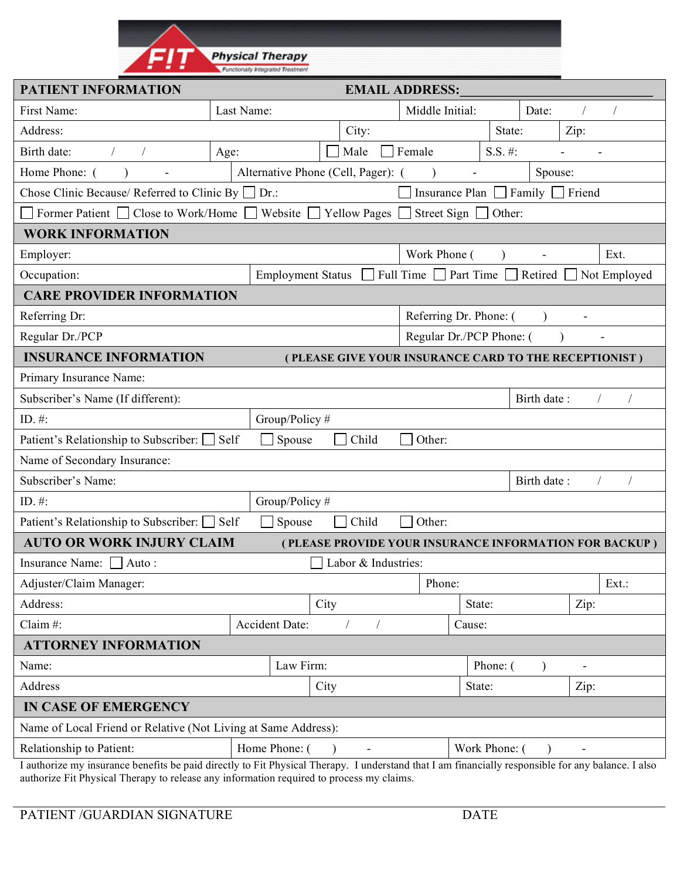

| <b>PATIENT INFORMATION</b>                                                                                                                                                                                                                     |                                    |                     | <b>EMAIL ADDRESS:</b>                                 |               |                      |                                                        |  |
|------------------------------------------------------------------------------------------------------------------------------------------------------------------------------------------------------------------------------------------------|------------------------------------|---------------------|-------------------------------------------------------|---------------|----------------------|--------------------------------------------------------|--|
| First Name:                                                                                                                                                                                                                                    | Last Name:                         |                     | Middle Initial:                                       |               | Date:                |                                                        |  |
| Address:                                                                                                                                                                                                                                       |                                    | City:               |                                                       | State:        |                      | Zip:                                                   |  |
| Birth date:                                                                                                                                                                                                                                    | Age:                               | Male                | Female                                                |               |                      |                                                        |  |
| Home Phone: (                                                                                                                                                                                                                                  | Alternative Phone (Cell, Pager): ( |                     |                                                       |               | Spouse:              |                                                        |  |
| Chose Clinic Because/ Referred to Clinic By                                                                                                                                                                                                    | $Dr$ .:                            |                     | Insurance Plan                                        |               | Family $\Box$ Friend |                                                        |  |
| Close to Work/Home<br>Former Patient                                                                                                                                                                                                           | Website                            | Yellow Pages        | Street Sign                                           | Other:        |                      |                                                        |  |
| <b>WORK INFORMATION</b>                                                                                                                                                                                                                        |                                    |                     |                                                       |               |                      |                                                        |  |
| Employer:                                                                                                                                                                                                                                      |                                    |                     | Work Phone (                                          |               |                      | Ext.                                                   |  |
| Occupation:                                                                                                                                                                                                                                    | <b>Employment Status</b>           |                     | Full Time $\Box$ Part Time                            |               | Retired              | Not Employed                                           |  |
| <b>CARE PROVIDER INFORMATION</b>                                                                                                                                                                                                               |                                    |                     |                                                       |               |                      |                                                        |  |
| Referring Dr:                                                                                                                                                                                                                                  |                                    |                     | Referring Dr. Phone: (                                |               |                      |                                                        |  |
| Regular Dr./PCP                                                                                                                                                                                                                                |                                    |                     | Regular Dr./PCP Phone: (                              |               |                      |                                                        |  |
| <b>INSURANCE INFORMATION</b>                                                                                                                                                                                                                   |                                    |                     | (PLEASE GIVE YOUR INSURANCE CARD TO THE RECEPTIONIST) |               |                      |                                                        |  |
| Primary Insurance Name:                                                                                                                                                                                                                        |                                    |                     |                                                       |               |                      |                                                        |  |
| Subscriber's Name (If different):                                                                                                                                                                                                              |                                    |                     |                                                       |               | Birth date:          |                                                        |  |
| ID. $#$ :                                                                                                                                                                                                                                      | Group/Policy #                     |                     |                                                       |               |                      |                                                        |  |
| Patient's Relationship to Subscriber: [                                                                                                                                                                                                        | Self<br>Spouse                     | Child               | Other:                                                |               |                      |                                                        |  |
| Name of Secondary Insurance:                                                                                                                                                                                                                   |                                    |                     |                                                       |               |                      |                                                        |  |
| Subscriber's Name:                                                                                                                                                                                                                             |                                    |                     |                                                       |               | Birth date:          |                                                        |  |
| ID. $#$ :                                                                                                                                                                                                                                      | Group/Policy#                      |                     |                                                       |               |                      |                                                        |  |
| Patient's Relationship to Subscriber: □ Self                                                                                                                                                                                                   | Spouse                             | Child               | Other:                                                |               |                      |                                                        |  |
| <b>AUTO OR WORK INJURY CLAIM</b>                                                                                                                                                                                                               |                                    |                     |                                                       |               |                      | (PLEASE PROVIDE YOUR INSURANCE INFORMATION FOR BACKUP) |  |
| <b>Insurance Name:</b><br>Auto:                                                                                                                                                                                                                |                                    | Labor & Industries: |                                                       |               |                      |                                                        |  |
| Adjuster/Claim Manager:                                                                                                                                                                                                                        |                                    |                     | Phone:                                                |               |                      | Ext.:                                                  |  |
| Address:                                                                                                                                                                                                                                       |                                    | City                | State:                                                |               |                      | Zip:                                                   |  |
| Claim $#$ :                                                                                                                                                                                                                                    | Accident Date:                     |                     | Cause:                                                |               |                      |                                                        |  |
| <b>ATTORNEY INFORMATION</b>                                                                                                                                                                                                                    |                                    |                     |                                                       |               |                      |                                                        |  |
| Name:                                                                                                                                                                                                                                          | Law Firm:                          |                     |                                                       | Phone: (      |                      |                                                        |  |
| Address                                                                                                                                                                                                                                        |                                    | City                | State:                                                |               |                      | Zip:                                                   |  |
| <b>IN CASE OF EMERGENCY</b>                                                                                                                                                                                                                    |                                    |                     |                                                       |               |                      |                                                        |  |
| Name of Local Friend or Relative (Not Living at Same Address):                                                                                                                                                                                 |                                    |                     |                                                       |               |                      |                                                        |  |
| Relationship to Patient:                                                                                                                                                                                                                       | Home Phone: (                      |                     |                                                       | Work Phone: ( |                      |                                                        |  |
| I authorize my insurance benefits be paid directly to Fit Physical Therapy. I understand that I am financially responsible for any balance. I also<br>authorize Fit Physical Therapy to release any information required to process my claims. |                                    |                     |                                                       |               |                      |                                                        |  |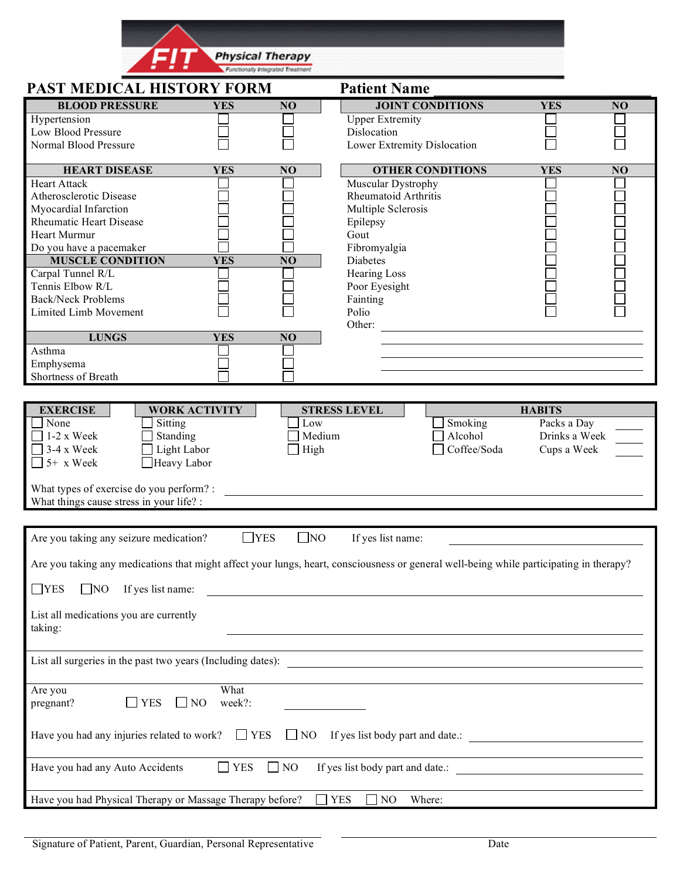|                                                       |                      | <b>Physical Therapy</b>           |                                                                                                                                         |                              |                |
|-------------------------------------------------------|----------------------|-----------------------------------|-----------------------------------------------------------------------------------------------------------------------------------------|------------------------------|----------------|
| PAST MEDICAL HISTORY FORM                             |                      | Functionally Integrated Treatment | <b>Patient Name</b>                                                                                                                     |                              |                |
| <b>BLOOD PRESSURE</b>                                 | <b>YES</b>           | N <sub>O</sub>                    | <b>JOINT CONDITIONS</b>                                                                                                                 | <b>YES</b>                   | NO             |
| Hypertension                                          |                      |                                   | <b>Upper Extremity</b>                                                                                                                  |                              |                |
| Low Blood Pressure                                    |                      |                                   | Dislocation                                                                                                                             |                              |                |
| Normal Blood Pressure                                 |                      |                                   | Lower Extremity Dislocation                                                                                                             |                              |                |
| <b>HEART DISEASE</b>                                  | <b>YES</b>           | N <sub>O</sub>                    | <b>OTHER CONDITIONS</b>                                                                                                                 | <b>YES</b>                   | N <sub>O</sub> |
| <b>Heart Attack</b>                                   |                      |                                   | Muscular Dystrophy                                                                                                                      |                              |                |
| Atherosclerotic Disease<br>Myocardial Infarction      |                      |                                   | <b>Rheumatoid Arthritis</b>                                                                                                             |                              |                |
| <b>Rheumatic Heart Disease</b>                        |                      |                                   | Multiple Sclerosis<br>Epilepsy                                                                                                          |                              |                |
| Heart Murmur                                          |                      |                                   | Gout                                                                                                                                    |                              |                |
| Do you have a pacemaker                               |                      |                                   | Fibromyalgia                                                                                                                            |                              |                |
| <b>MUSCLE CONDITION</b>                               | <b>YES</b>           | N <sub>O</sub>                    | Diabetes                                                                                                                                |                              |                |
| Carpal Tunnel R/L                                     |                      |                                   | <b>Hearing Loss</b>                                                                                                                     |                              |                |
| Tennis Elbow R/L                                      |                      |                                   | Poor Eyesight                                                                                                                           |                              |                |
| <b>Back/Neck Problems</b>                             |                      |                                   | Fainting                                                                                                                                |                              |                |
| Limited Limb Movement                                 |                      |                                   | Polio<br>Other:                                                                                                                         |                              |                |
| <b>LUNGS</b>                                          | <b>YES</b>           | N <sub>O</sub>                    |                                                                                                                                         |                              |                |
| Asthma                                                |                      |                                   |                                                                                                                                         |                              |                |
| Emphysema                                             |                      |                                   |                                                                                                                                         |                              |                |
| Shortness of Breath                                   |                      |                                   |                                                                                                                                         |                              |                |
|                                                       |                      |                                   |                                                                                                                                         |                              |                |
| <b>EXERCISE</b><br>None                               | <b>WORK ACTIVITY</b> |                                   | <b>STRESS LEVEL</b>                                                                                                                     | <b>HABITS</b>                |                |
| Sitting<br>$1-2x$ Week<br>Standing                    |                      | Low<br>Medium                     | Smoking<br>Alcohol                                                                                                                      | Packs a Day<br>Drinks a Week |                |
| $\Box$ 3-4 x Week<br>Light Labor                      |                      | High                              | Coffee/Soda                                                                                                                             | Cups a Week                  |                |
|                                                       |                      |                                   |                                                                                                                                         |                              |                |
| $\Box$ 5+ x Week<br>Heavy Labor                       |                      |                                   |                                                                                                                                         |                              |                |
|                                                       |                      |                                   |                                                                                                                                         |                              |                |
| What types of exercise do you perform? :              |                      |                                   |                                                                                                                                         |                              |                |
| What things cause stress in your life? :              |                      |                                   |                                                                                                                                         |                              |                |
|                                                       |                      |                                   |                                                                                                                                         |                              |                |
| Are you taking any seizure medication?                |                      | $\Box$ YES<br>$\Box$ NO           | If yes list name:                                                                                                                       |                              |                |
|                                                       |                      |                                   | Are you taking any medications that might affect your lungs, heart, consciousness or general well-being while participating in therapy? |                              |                |
| $\Box$ YES<br>$\Box$ NO<br>If yes list name:          |                      |                                   |                                                                                                                                         |                              |                |
| List all medications you are currently                |                      |                                   |                                                                                                                                         |                              |                |
| taking:                                               |                      |                                   |                                                                                                                                         |                              |                |
|                                                       |                      |                                   |                                                                                                                                         |                              |                |
|                                                       |                      |                                   | List all surgeries in the past two years (Including dates):                                                                             |                              |                |
| Are you                                               | What                 |                                   |                                                                                                                                         |                              |                |
| YES<br>pregnant?                                      | week?:<br>$\Box$ NO  |                                   |                                                                                                                                         |                              |                |
|                                                       |                      |                                   |                                                                                                                                         |                              |                |
| Have you had any injuries related to work? $\Box$ YES |                      |                                   |                                                                                                                                         |                              |                |
|                                                       |                      |                                   |                                                                                                                                         |                              |                |
| Have you had any Auto Accidents                       | $\Box$ YES           | $\Box$ NO                         | If yes list body part and date.:                                                                                                        |                              |                |